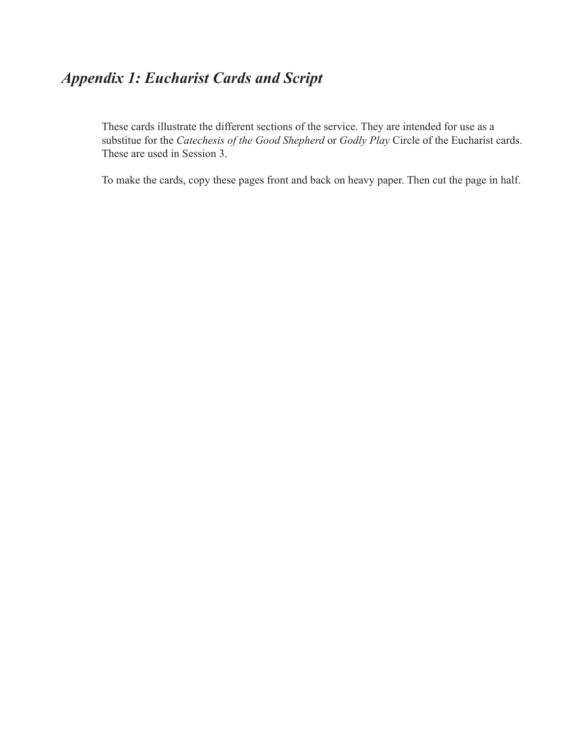## *Appendix 1: Eucharist Cards and Script*

These cards illustrate the different sections of the service. They are intended for use as a substitue for the *Catechesis of the Good Shepherd* or *Godly Play* Circle of the Eucharist cards. These are used in Session 3.

To make the cards, copy these pages front and back on heavy paper. Then cut the page in half.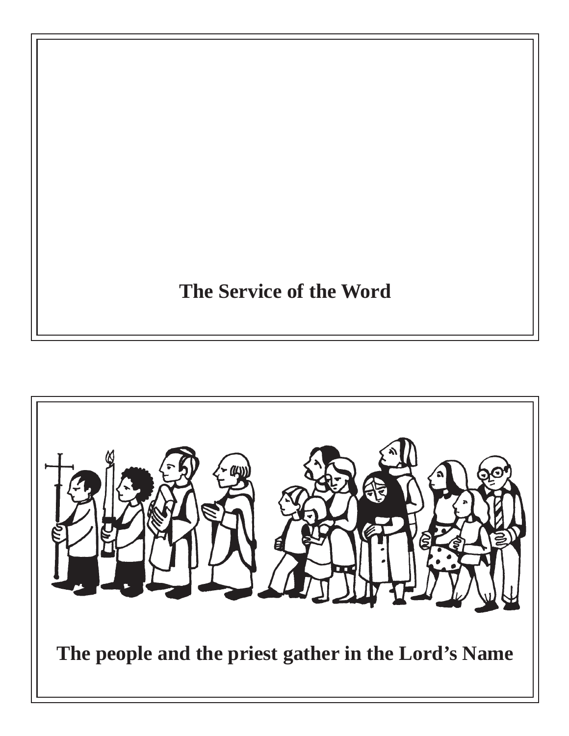## **The Service of the Word**

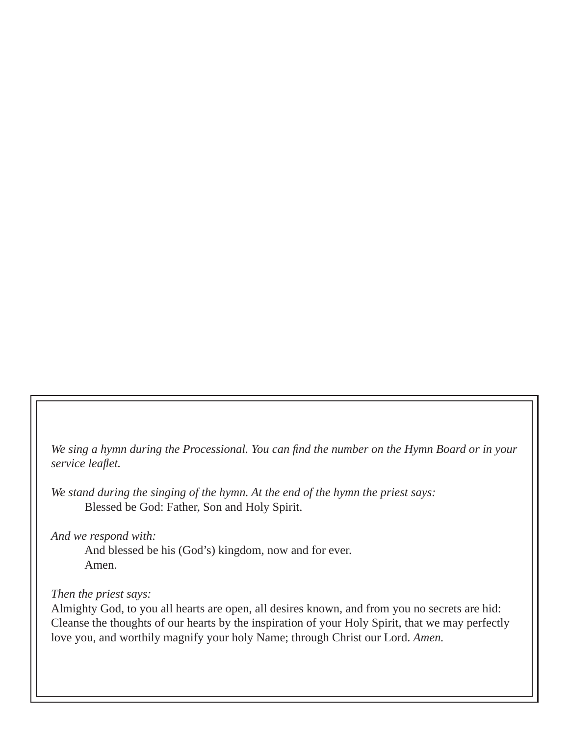We sing a hymn during the Processional. You can find the number on the Hymn Board or in your *service leafl et.*

*We stand during the singing of the hymn. At the end of the hymn the priest says:* Blessed be God: Father, Son and Holy Spirit.

*And we respond with:*

 And blessed be his (God's) kingdom, now and for ever. Amen.

## *Then the priest says:*

Almighty God, to you all hearts are open, all desires known, and from you no secrets are hid: Cleanse the thoughts of our hearts by the inspiration of your Holy Spirit, that we may perfectly love you, and worthily magnify your holy Name; through Christ our Lord. *Amen.*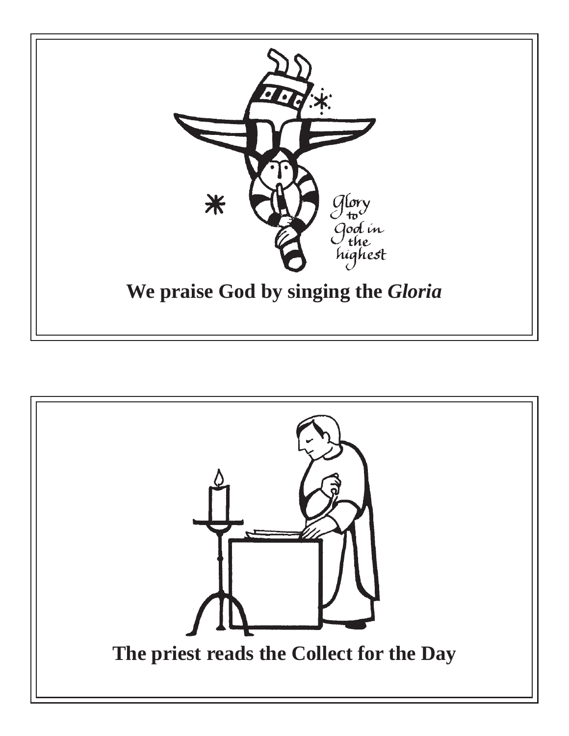

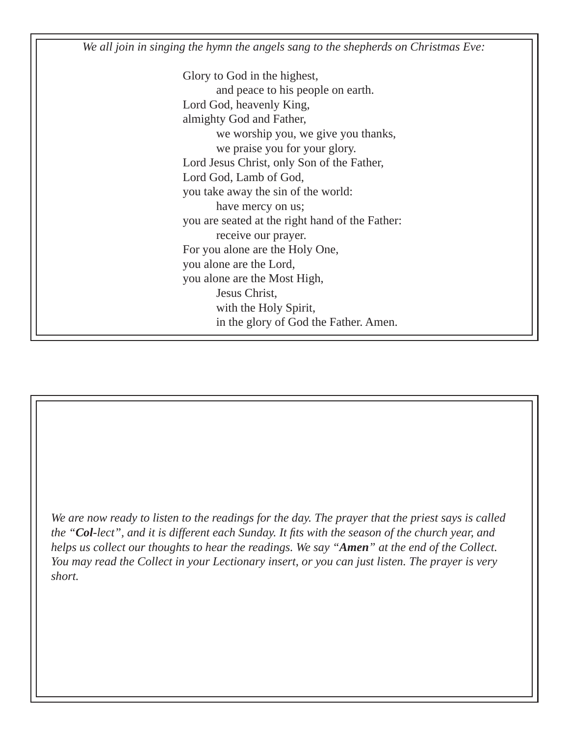*We all join in singing the hymn the angels sang to the shepherds on Christmas Eve:*

 Glory to God in the highest, and peace to his people on earth. Lord God, heavenly King, almighty God and Father, we worship you, we give you thanks, we praise you for your glory. Lord Jesus Christ, only Son of the Father, Lord God, Lamb of God, you take away the sin of the world: have mercy on us; you are seated at the right hand of the Father: receive our prayer. For you alone are the Holy One, you alone are the Lord, you alone are the Most High, Jesus Christ, with the Holy Spirit, in the glory of God the Father. Amen.

*We are now ready to listen to the readings for the day. The prayer that the priest says is called the "Col-lect", and it is different each Sunday. It fits with the season of the church year, and helps us collect our thoughts to hear the readings. We say "Amen" at the end of the Collect. You may read the Collect in your Lectionary insert, or you can just listen. The prayer is very short.*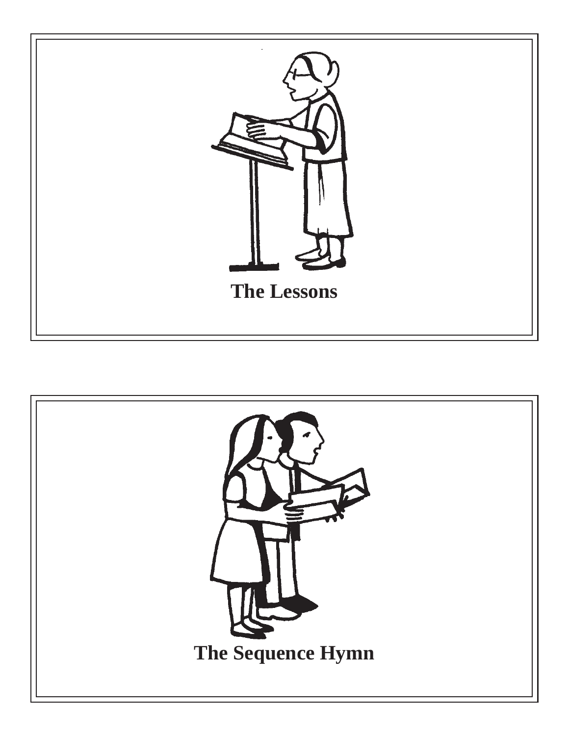

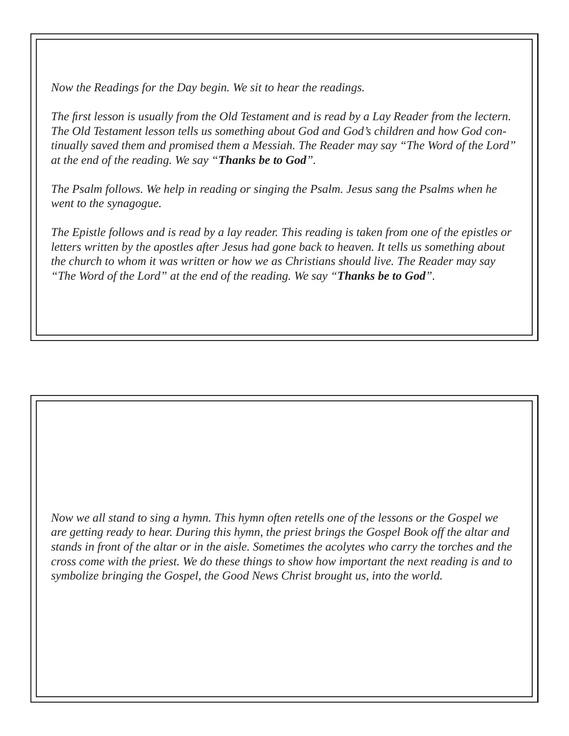*Now the Readings for the Day begin. We sit to hear the readings.*

*The fi rst lesson is usually from the Old Testament and is read by a Lay Reader from the lectern. The Old Testament lesson tells us something about God and God's children and how God continually saved them and promised them a Messiah. The Reader may say "The Word of the Lord" at the end of the reading. We say "Thanks be to God".*

*The Psalm follows. We help in reading or singing the Psalm. Jesus sang the Psalms when he went to the synagogue.* 

*The Epistle follows and is read by a lay reader. This reading is taken from one of the epistles or letters written by the apostles after Jesus had gone back to heaven. It tells us something about the church to whom it was written or how we as Christians should live. The Reader may say "The Word of the Lord" at the end of the reading. We say "Thanks be to God".*

*Now we all stand to sing a hymn. This hymn often retells one of the lessons or the Gospel we are getting ready to hear. During this hymn, the priest brings the Gospel Book off the altar and stands in front of the altar or in the aisle. Sometimes the acolytes who carry the torches and the cross come with the priest. We do these things to show how important the next reading is and to symbolize bringing the Gospel, the Good News Christ brought us, into the world.*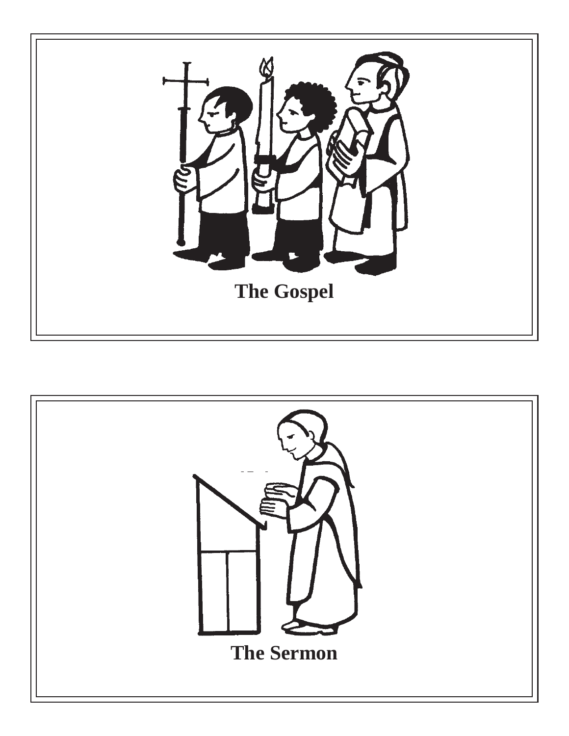

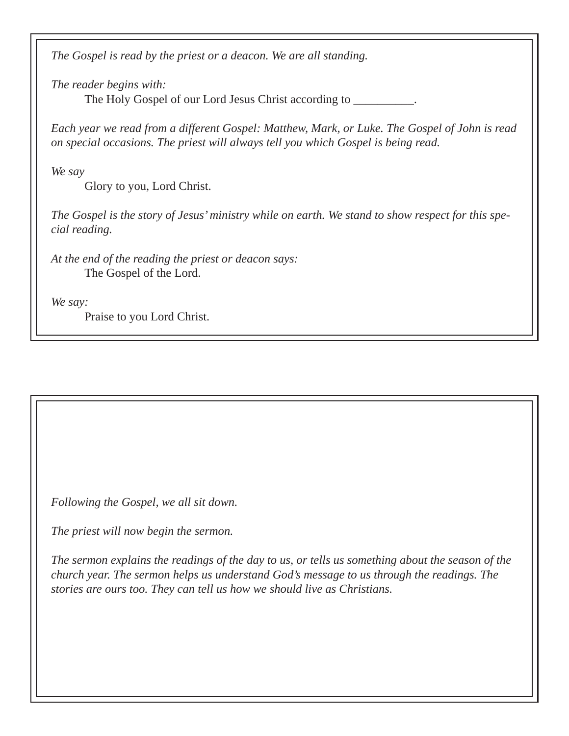*The Gospel is read by the priest or a deacon. We are all standing.*

*The reader begins with:*

The Holy Gospel of our Lord Jesus Christ according to \_\_\_\_\_\_\_\_\_\_\_\_\_\_\_\_\_\_\_\_\_\_\_\_\_\_\_

*Each year we read from a different Gospel: Matthew, Mark, or Luke. The Gospel of John is read on special occasions. The priest will always tell you which Gospel is being read.* 

*We say*

Glory to you, Lord Christ.

*The Gospel is the story of Jesus' ministry while on earth. We stand to show respect for this special reading.* 

*At the end of the reading the priest or deacon says:* The Gospel of the Lord.

*We say:*

Praise to you Lord Christ.

*Following the Gospel, we all sit down.* 

*The priest will now begin the sermon.*

*The sermon explains the readings of the day to us, or tells us something about the season of the church year. The sermon helps us understand God's message to us through the readings. The stories are ours too. They can tell us how we should live as Christians.*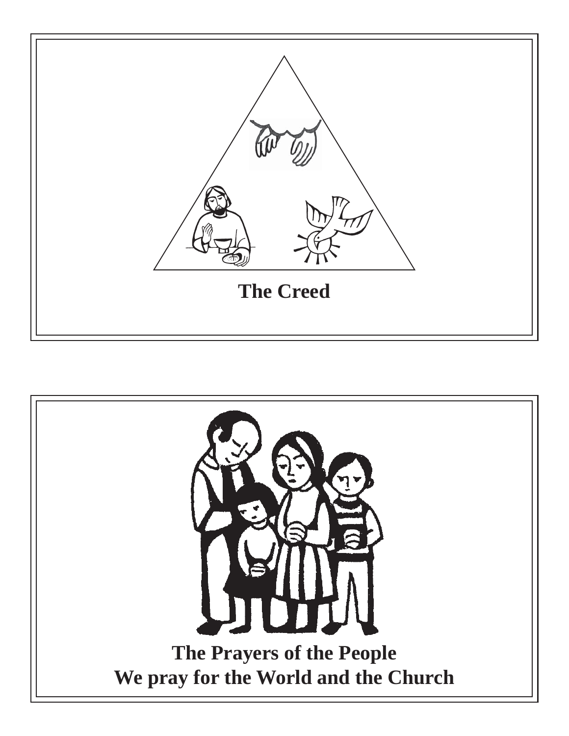

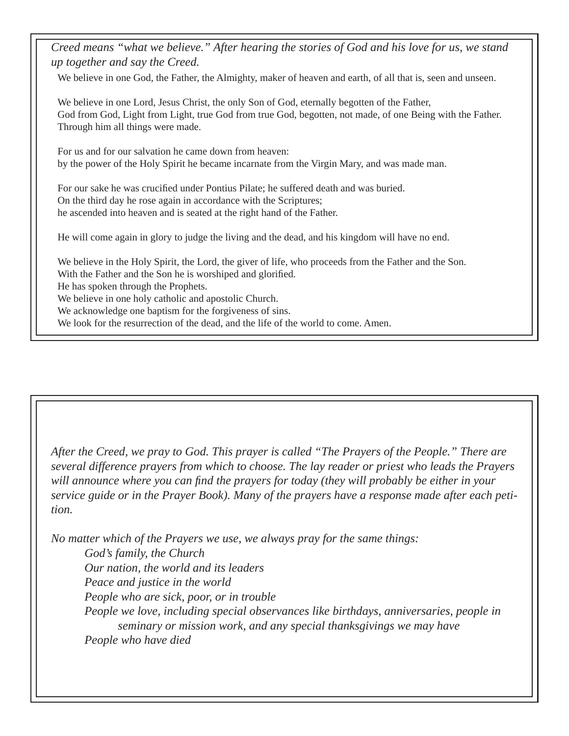*Creed means "what we believe." After hearing the stories of God and his love for us, we stand up together and say the Creed.* 

We believe in one God, the Father, the Almighty, maker of heaven and earth, of all that is, seen and unseen.

We believe in one Lord, Jesus Christ, the only Son of God, eternally begotten of the Father, God from God, Light from Light, true God from true God, begotten, not made, of one Being with the Father. Through him all things were made.

For us and for our salvation he came down from heaven: by the power of the Holy Spirit he became incarnate from the Virgin Mary, and was made man.

For our sake he was crucified under Pontius Pilate; he suffered death and was buried. On the third day he rose again in accordance with the Scriptures; he ascended into heaven and is seated at the right hand of the Father.

He will come again in glory to judge the living and the dead, and his kingdom will have no end.

We believe in the Holy Spirit, the Lord, the giver of life, who proceeds from the Father and the Son. With the Father and the Son he is worshiped and glorified. He has spoken through the Prophets. We believe in one holy catholic and apostolic Church. We acknowledge one baptism for the forgiveness of sins. We look for the resurrection of the dead, and the life of the world to come. Amen.

*After the Creed, we pray to God. This prayer is called "The Prayers of the People." There are several difference prayers from which to choose. The lay reader or priest who leads the Prayers will announce where you can find the prayers for today (they will probably be either in your service guide or in the Prayer Book). Many of the prayers have a response made after each petition.*

*No matter which of the Prayers we use, we always pray for the same things: God's family, the Church Our nation, the world and its leaders Peace and justice in the world People who are sick, poor, or in trouble People we love, including special observances like birthdays, anniversaries, people in seminary or mission work, and any special thanksgivings we may have People who have died*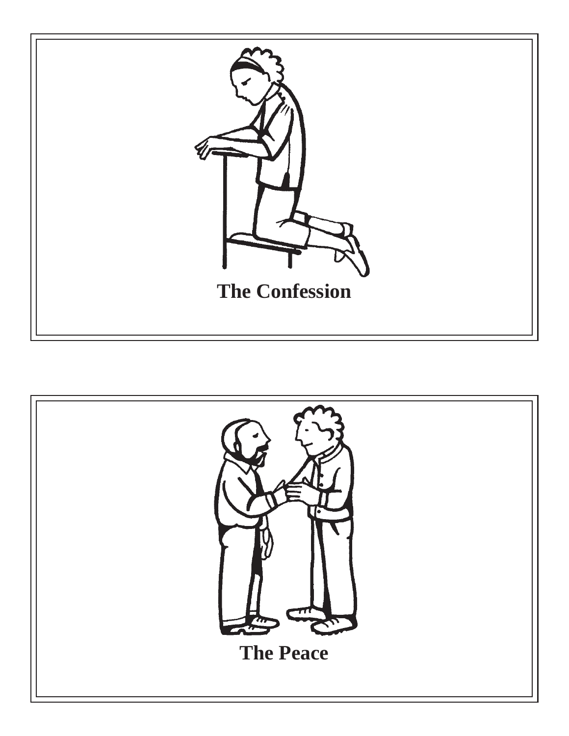

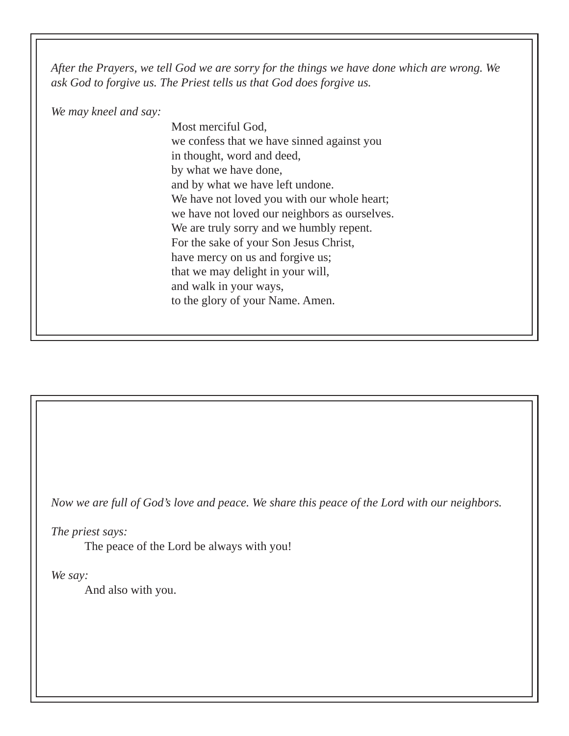*After the Prayers, we tell God we are sorry for the things we have done which are wrong. We ask God to forgive us. The Priest tells us that God does forgive us.*

*We may kneel and say:*

Most merciful God, we confess that we have sinned against you in thought, word and deed, by what we have done, and by what we have left undone. We have not loved you with our whole heart; we have not loved our neighbors as ourselves. We are truly sorry and we humbly repent. For the sake of your Son Jesus Christ, have mercy on us and forgive us; that we may delight in your will, and walk in your ways, to the glory of your Name. Amen.

*Now we are full of God's love and peace. We share this peace of the Lord with our neighbors.*

*The priest says:*

The peace of the Lord be always with you!

*We say:*

And also with you.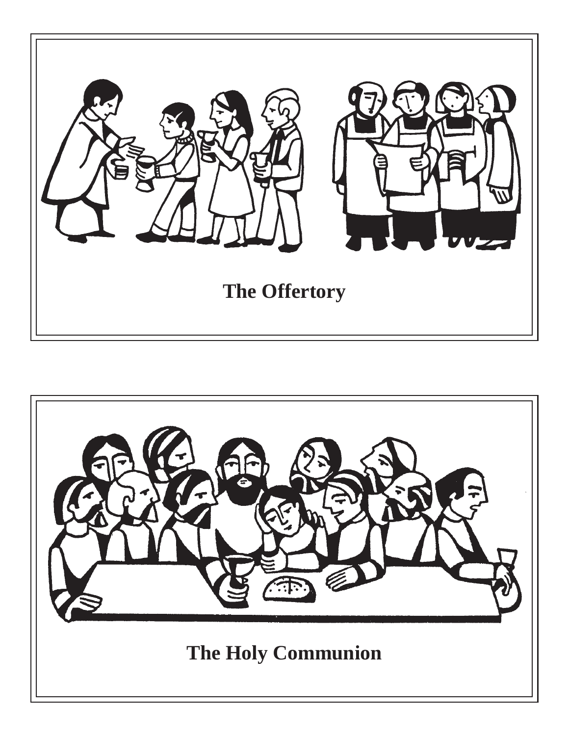

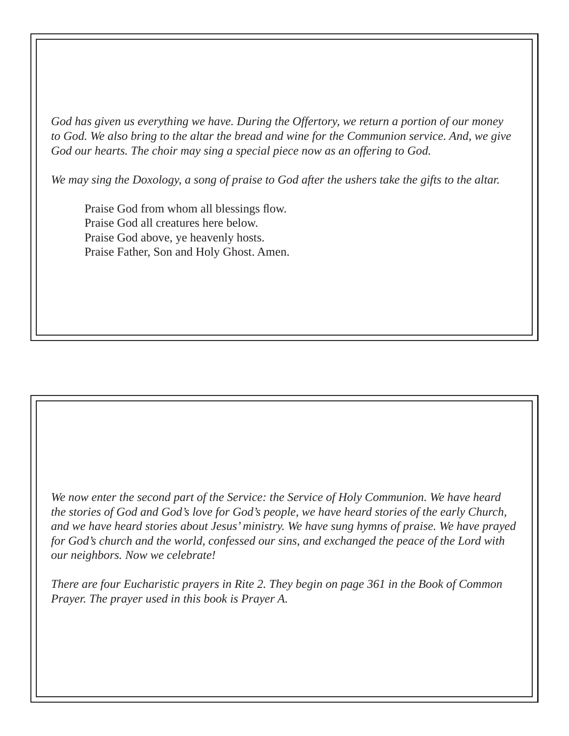*God has given us everything we have. During the Offertory, we return a portion of our money to God. We also bring to the altar the bread and wine for the Communion service. And, we give God our hearts. The choir may sing a special piece now as an offering to God.*

*We may sing the Doxology, a song of praise to God after the ushers take the gifts to the altar.*

Praise God from whom all blessings flow. Praise God all creatures here below. Praise God above, ye heavenly hosts. Praise Father, Son and Holy Ghost. Amen.

*We now enter the second part of the Service: the Service of Holy Communion. We have heard the stories of God and God's love for God's people, we have heard stories of the early Church, and we have heard stories about Jesus' ministry. We have sung hymns of praise. We have prayed for God's church and the world, confessed our sins, and exchanged the peace of the Lord with our neighbors. Now we celebrate!*

*There are four Eucharistic prayers in Rite 2. They begin on page 361 in the Book of Common Prayer. The prayer used in this book is Prayer A.*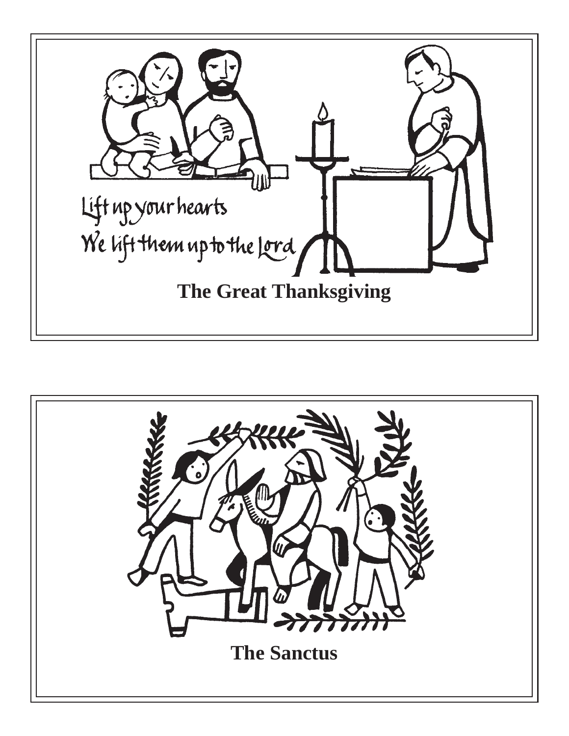

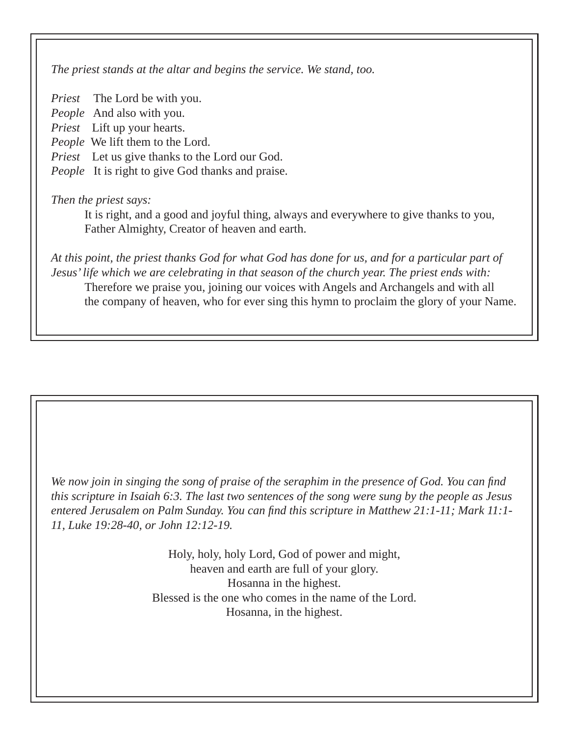*The priest stands at the altar and begins the service. We stand, too.*

*Priest* The Lord be with you. *People* And also with you. *Priest* Lift up your hearts. *People* We lift them to the Lord. *Priest* Let us give thanks to the Lord our God. *People* It is right to give God thanks and praise.

## *Then the priest says:*

 It is right, and a good and joyful thing, always and everywhere to give thanks to you, Father Almighty, Creator of heaven and earth.

*At this point, the priest thanks God for what God has done for us, and for a particular part of Jesus' life which we are celebrating in that season of the church year. The priest ends with:* Therefore we praise you, joining our voices with Angels and Archangels and with all the company of heaven, who for ever sing this hymn to proclaim the glory of your Name.

*We now join in singing the song of praise of the seraphim in the presence of God. You can find this scripture in Isaiah 6:3. The last two sentences of the song were sung by the people as Jesus entered Jerusalem on Palm Sunday. You can find this scripture in Matthew 21:1-11; Mark 11:1-11, Luke 19:28-40, or John 12:12-19.*

> Holy, holy, holy Lord, God of power and might, heaven and earth are full of your glory. Hosanna in the highest. Blessed is the one who comes in the name of the Lord. Hosanna, in the highest.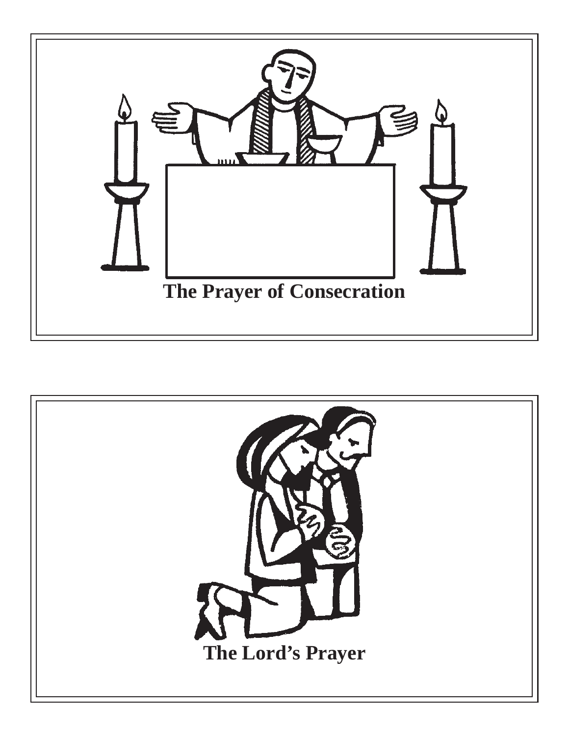

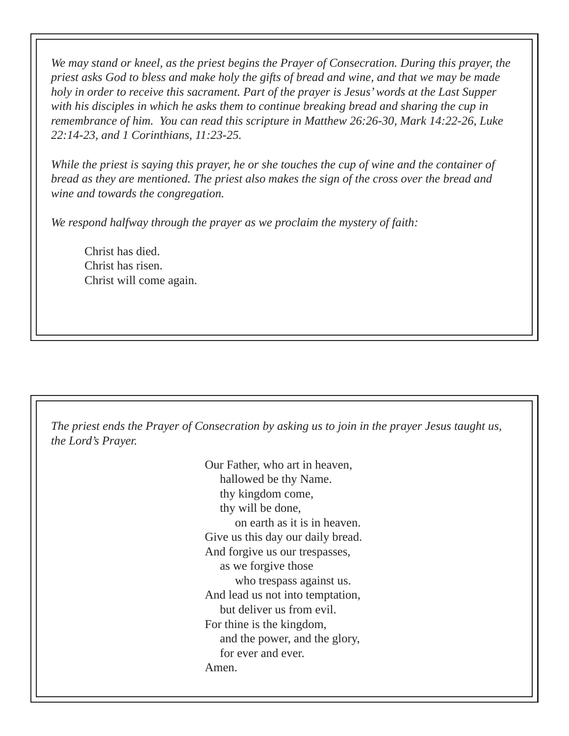*We may stand or kneel, as the priest begins the Prayer of Consecration. During this prayer, the priest asks God to bless and make holy the gifts of bread and wine, and that we may be made holy in order to receive this sacrament. Part of the prayer is Jesus' words at the Last Supper with his disciples in which he asks them to continue breaking bread and sharing the cup in remembrance of him. You can read this scripture in Matthew 26:26-30, Mark 14:22-26, Luke 22:14-23, and 1 Corinthians, 11:23-25.*

*While the priest is saying this prayer, he or she touches the cup of wine and the container of bread as they are mentioned. The priest also makes the sign of the cross over the bread and wine and towards the congregation.* 

*We respond halfway through the prayer as we proclaim the mystery of faith:*

 Christ has died. Christ has risen. Christ will come again.

*The priest ends the Prayer of Consecration by asking us to join in the prayer Jesus taught us, the Lord's Prayer.* 

> Our Father, who art in heaven, hallowed be thy Name. thy kingdom come, thy will be done, on earth as it is in heaven. Give us this day our daily bread. And forgive us our trespasses, as we forgive those who trespass against us. And lead us not into temptation, but deliver us from evil. For thine is the kingdom, and the power, and the glory, for ever and ever. Amen.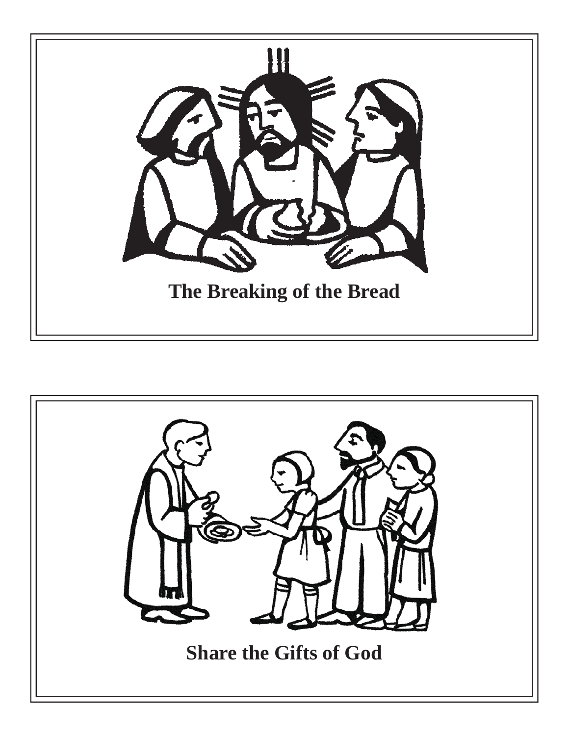

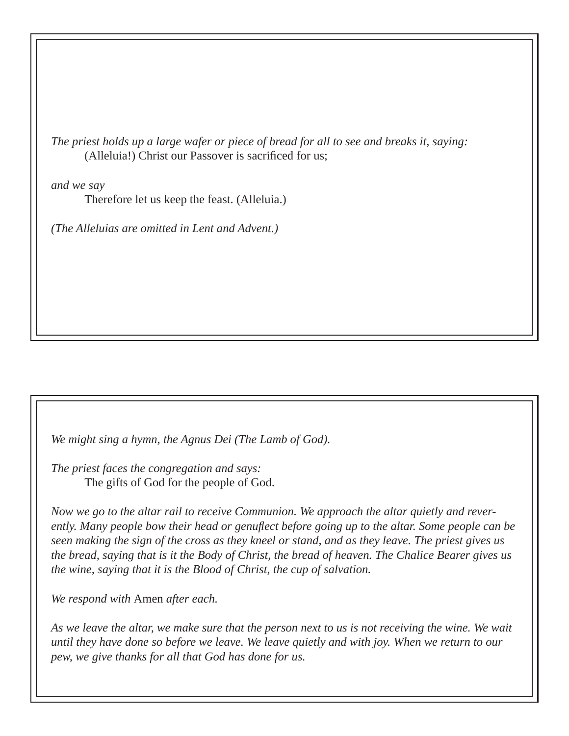*The priest holds up a large wafer or piece of bread for all to see and breaks it, saying:* (Alleluia!) Christ our Passover is sacrificed for us;

*and we say*

Therefore let us keep the feast. (Alleluia.)

*(The Alleluias are omitted in Lent and Advent.)*

*We might sing a hymn, the Agnus Dei (The Lamb of God).* 

*The priest faces the congregation and says:* The gifts of God for the people of God.

*Now we go to the altar rail to receive Communion. We approach the altar quietly and reverently. Many people bow their head or genufl ect before going up to the altar. Some people can be seen making the sign of the cross as they kneel or stand, and as they leave. The priest gives us the bread, saying that is it the Body of Christ, the bread of heaven. The Chalice Bearer gives us the wine, saying that it is the Blood of Christ, the cup of salvation.* 

*We respond with* Amen *after each.* 

*As we leave the altar, we make sure that the person next to us is not receiving the wine. We wait until they have done so before we leave. We leave quietly and with joy. When we return to our pew, we give thanks for all that God has done for us.*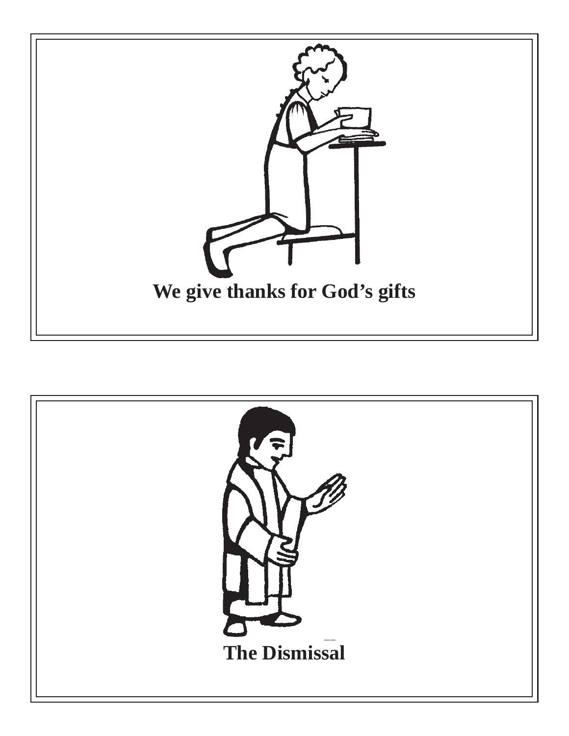